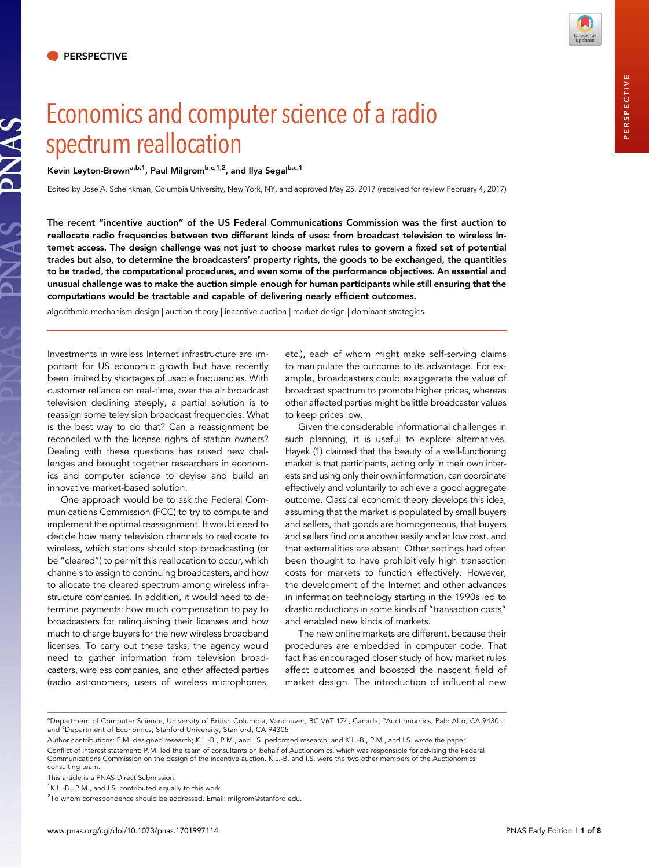NAS

# Economics and computer science of a radio spectrum reallocation

Kevin Leyton-Brown<sup>a,b,1</sup>, Paul Milgrom<sup>b,c,1,2</sup>, and Ilya Segal<sup>b,c,1</sup>

Edited by Jose A. Scheinkman, Columbia University, New York, NY, and approved May 25, 2017 (received for review February 4, 2017)

The recent "incentive auction" of the US Federal Communications Commission was the first auction to reallocate radio frequencies between two different kinds of uses: from broadcast television to wireless Internet access. The design challenge was not just to choose market rules to govern a fixed set of potential trades but also, to determine the broadcasters' property rights, the goods to be exchanged, the quantities to be traded, the computational procedures, and even some of the performance objectives. An essential and unusual challenge was to make the auction simple enough for human participants while still ensuring that the computations would be tractable and capable of delivering nearly efficient outcomes.

algorithmic mechanism design | auction theory | incentive auction | market design | dominant strategies

Investments in wireless Internet infrastructure are important for US economic growth but have recently been limited by shortages of usable frequencies. With customer reliance on real-time, over the air broadcast television declining steeply, a partial solution is to reassign some television broadcast frequencies. What is the best way to do that? Can a reassignment be reconciled with the license rights of station owners? Dealing with these questions has raised new challenges and brought together researchers in economics and computer science to devise and build an innovative market-based solution.

One approach would be to ask the Federal Communications Commission (FCC) to try to compute and implement the optimal reassignment. It would need to decide how many television channels to reallocate to wireless, which stations should stop broadcasting (or be "cleared") to permit this reallocation to occur, which channels to assign to continuing broadcasters, and how to allocate the cleared spectrum among wireless infrastructure companies. In addition, it would need to determine payments: how much compensation to pay to broadcasters for relinquishing their licenses and how much to charge buyers for the new wireless broadband licenses. To carry out these tasks, the agency would need to gather information from television broadcasters, wireless companies, and other affected parties (radio astronomers, users of wireless microphones, etc.), each of whom might make self-serving claims to manipulate the outcome to its advantage. For example, broadcasters could exaggerate the value of broadcast spectrum to promote higher prices, whereas other affected parties might belittle broadcaster values to keep prices low.

Given the considerable informational challenges in such planning, it is useful to explore alternatives. Hayek (1) claimed that the beauty of a well-functioning market is that participants, acting only in their own interests and using only their own information, can coordinate effectively and voluntarily to achieve a good aggregate outcome. Classical economic theory develops this idea, assuming that the market is populated by small buyers and sellers, that goods are homogeneous, that buyers and sellers find one another easily and at low cost, and that externalities are absent. Other settings had often been thought to have prohibitively high transaction costs for markets to function effectively. However, the development of the Internet and other advances in information technology starting in the 1990s led to drastic reductions in some kinds of "transaction costs" and enabled new kinds of markets.

The new online markets are different, because their procedures are embedded in computer code. That fact has encouraged closer study of how market rules affect outcomes and boosted the nascent field of market design. The introduction of influential new

PERSPECTIVE PERSPECTIVE

ªDepartment of Computer Science, University of British Columbia, Vancouver, BC V6T 1Z4, Canada; <sup>b</sup>Auctionomics, Palo Alto, CA 94301; and <sup>c</sup>Department of Economics, Stanford University, Stanford, CA 94305

Author contributions: P.M. designed research; K.L.-B., P.M., and I.S. performed research; and K.L.-B., P.M., and I.S. wrote the paper. Conflict of interest statement: P.M. led the team of consultants on behalf of Auctionomics, which was responsible for advising the Federal Communications Commission on the design of the incentive auction. K.L.-B. and I.S. were the two other members of the Auctionomics

consulting team.

This article is a PNAS Direct Submission.

<sup>&</sup>lt;sup>1</sup>K.L.-B., P.M., and I.S. contributed equally to this work.

 $^{2}$ To whom correspondence should be addressed. Email: [milgrom@stanford.edu](mailto:milgrom@stanford.edu).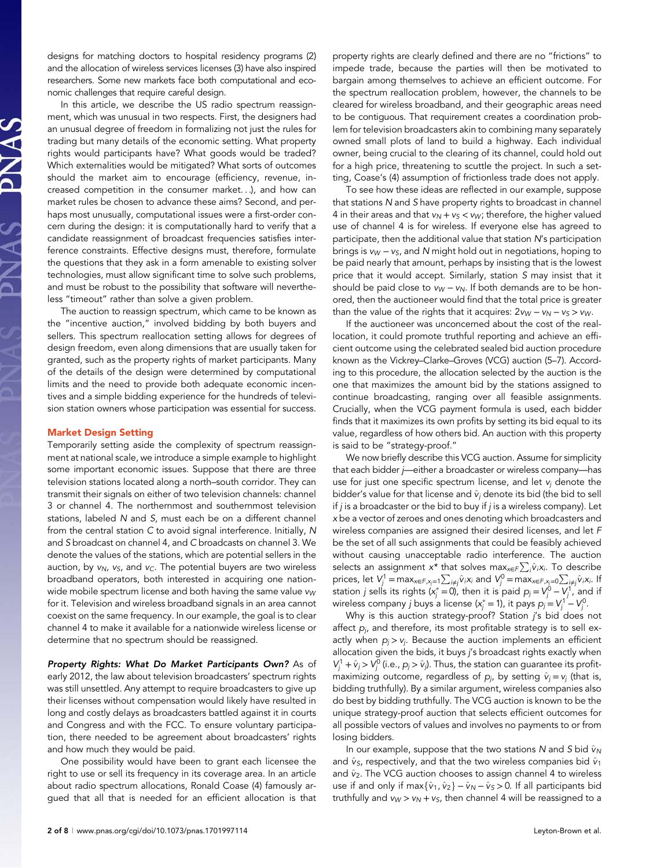designs for matching doctors to hospital residency programs (2) and the allocation of wireless services licenses (3) have also inspired researchers. Some new markets face both computational and economic challenges that require careful design.

In this article, we describe the US radio spectrum reassignment, which was unusual in two respects. First, the designers had an unusual degree of freedom in formalizing not just the rules for trading but many details of the economic setting. What property rights would participants have? What goods would be traded? Which externalities would be mitigated? What sorts of outcomes should the market aim to encourage (efficiency, revenue, increased competition in the consumer market...), and how can market rules be chosen to advance these aims? Second, and perhaps most unusually, computational issues were a first-order concern during the design: it is computationally hard to verify that a candidate reassignment of broadcast frequencies satisfies interference constraints. Effective designs must, therefore, formulate the questions that they ask in a form amenable to existing solver technologies, must allow significant time to solve such problems, and must be robust to the possibility that software will nevertheless "timeout" rather than solve a given problem.

The auction to reassign spectrum, which came to be known as the "incentive auction," involved bidding by both buyers and sellers. This spectrum reallocation setting allows for degrees of design freedom, even along dimensions that are usually taken for granted, such as the property rights of market participants. Many of the details of the design were determined by computational limits and the need to provide both adequate economic incentives and a simple bidding experience for the hundreds of television station owners whose participation was essential for success.

market Design Setting<br>Temporarily setting aside the complexity of spectrum reassignment at national scale, we introduce a simple example to highlight some important economic issues. Suppose that there are three television stations located along a north–south corridor. They can transmit their signals on either of two television channels: channel 3 or channel 4. The northernmost and southernmost television stations, labeled N and S, must each be on a different channel from the central station C to avoid signal interference. Initially, N and S broadcast on channel 4, and C broadcasts on channel 3. We denote the values of the stations, which are potential sellers in the auction, by  $v_N$ ,  $v_S$ , and  $v_C$ . The potential buyers are two wireless broadband operators, both interested in acquiring one nationwide mobile spectrum license and both having the same value  $v_W$ for it. Television and wireless broadband signals in an area cannot coexist on the same frequency. In our example, the goal is to clear channel 4 to make it available for a nationwide wireless license or determine that no spectrum should be reassigned.

Property Rights: What Do Market Participants Own? As of early 2012, the law about television broadcasters' spectrum rights was still unsettled. Any attempt to require broadcasters to give up their licenses without compensation would likely have resulted in long and costly delays as broadcasters battled against it in courts and Congress and with the FCC. To ensure voluntary participation, there needed to be agreement about broadcasters' rights and how much they would be paid.

One possibility would have been to grant each licensee the right to use or sell its frequency in its coverage area. In an article about radio spectrum allocations, Ronald Coase (4) famously argued that all that is needed for an efficient allocation is that property rights are clearly defined and there are no "frictions" to impede trade, because the parties will then be motivated to bargain among themselves to achieve an efficient outcome. For the spectrum reallocation problem, however, the channels to be cleared for wireless broadband, and their geographic areas need to be contiguous. That requirement creates a coordination problem for television broadcasters akin to combining many separately owned small plots of land to build a highway. Each individual owner, being crucial to the clearing of its channel, could hold out for a high price, threatening to scuttle the project. In such a setting, Coase's (4) assumption of frictionless trade does not apply.

To see how these ideas are reflected in our example, suppose that stations N and S have property rights to broadcast in channel 4 in their areas and that  $v_N + v_S < v_W$ ; therefore, the higher valued use of channel 4 is for wireless. If everyone else has agreed to participate, then the additional value that station N's participation brings is  $v_W - v_S$ , and N might hold out in negotiations, hoping to be paid nearly that amount, perhaps by insisting that is the lowest price that it would accept. Similarly, station S may insist that it should be paid close to  $v_W - v_N$ . If both demands are to be honored, then the auctioneer would find that the total price is greater than the value of the rights that it acquires:  $2v_W - v_N - v_S > v_W$ .

If the auctioneer was unconcerned about the cost of the reallocation, it could promote truthful reporting and achieve an efficient outcome using the celebrated sealed bid auction procedure known as the Vickrey–Clarke–Groves (VCG) auction (5–7). According to this procedure, the allocation selected by the auction is the one that maximizes the amount bid by the stations assigned to continue broadcasting, ranging over all feasible assignments. Crucially, when the VCG payment formula is used, each bidder finds that it maximizes its own profits by setting its bid equal to its value, regardless of how others bid. An auction with this property is said to be "strategy-proof."

We now briefly describe this VCG auction. Assume for simplicity that each bidder j—either a broadcaster or wireless company—has use for just one specific spectrum license, and let  $v_i$  denote the bidder's value for that license and  $\hat{v}_i$  denote its bid (the bid to sell if  $j$  is a broadcaster or the bid to buy if  $j$  is a wireless company). Let x be a vector of zeroes and ones denoting which broadcasters and wireless companies are assigned their desired licenses, and let F be the set of all such assignments that could be feasibly achieved without causing unacceptable radio interference. The auction selects an assignment  $\mathsf{x}^\star$  that solves max $_{\mathsf{x}\in\mathsf{F}}{\sum_i} \hat{\mathsf{v}}_i\mathsf{x}_i.$  To describe prices, let  $V_j^1 = \max_{x \in F, x_j = 1} \sum_{i \neq j} \hat{v}_i x_i$  and  $V_j^0 = \max_{x \in F, x_j = 0} \sum_{i \neq j} \hat{v}_i x_i$ . If station  $j$  sells its rights ( $x_j^* = 0$ ), then it is paid  $p_j = V_j^0 - V_j^1$  , and if wireless company  $j$  buys a license ( $x_j^* = 1$ ), it pays  $p_j = V_j^1 - V_j^0$ .

Why is this auction strategy-proof? Station j's bid does not affect  $p_i$ , and therefore, its most profitable strategy is to sell exactly when  $p_i > v_i$ . Because the auction implements an efficient allocation given the bids, it buys j's broadcast rights exactly when  $V_j^1 + \hat{v}_j > V_j^0$  (i.e.,  $p_j > \hat{v}_j$ ). Thus, the station can guarantee its profitmaximizing outcome, regardless of  $p_i$ , by setting  $\hat{v}_i = v_i$  (that is, bidding truthfully). By a similar argument, wireless companies also do best by bidding truthfully. The VCG auction is known to be the unique strategy-proof auction that selects efficient outcomes for all possible vectors of values and involves no payments to or from losing bidders.

In our example, suppose that the two stations N and S bid  $\hat{v}_N$ and  $\hat{v}_s$ , respectively, and that the two wireless companies bid  $\hat{v}_1$ and  $\hat{v}_2$ . The VCG auction chooses to assign channel 4 to wireless use if and only if max $\{\hat{v}_1, \hat{v}_2\} - \hat{v}_N - \hat{v}_S > 0$ . If all participants bid truthfully and  $v_W > v_N + v_S$ , then channel 4 will be reassigned to a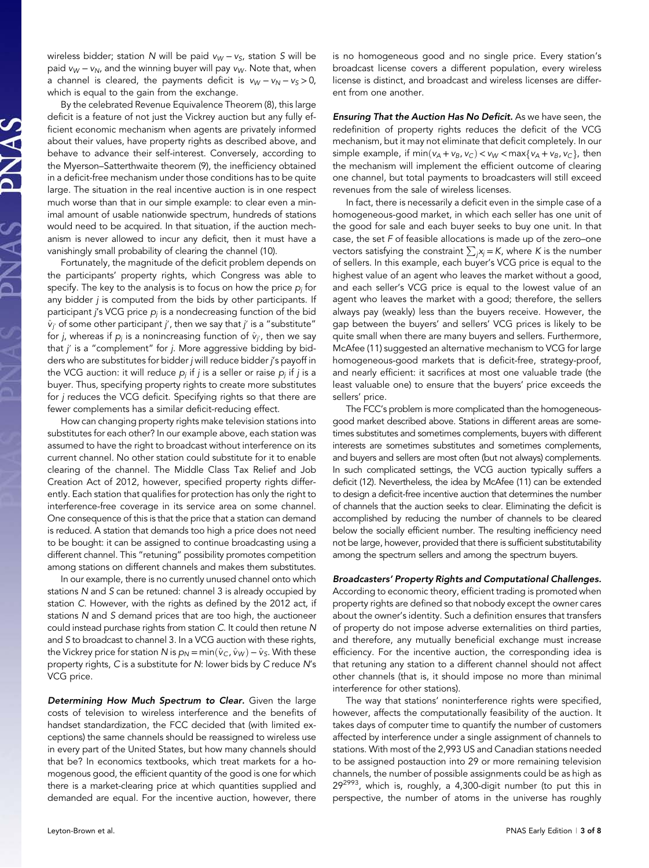wireless bidder; station N will be paid  $v_W - v_S$ , station S will be paid  $v_W - v_N$ , and the winning buyer will pay  $v_W$ . Note that, when a channel is cleared, the payments deficit is  $v_W - v_N - v_S > 0$ , which is equal to the gain from the exchange.

By the celebrated Revenue Equivalence Theorem (8), this large deficit is a feature of not just the Vickrey auction but any fully efficient economic mechanism when agents are privately informed about their values, have property rights as described above, and behave to advance their self-interest. Conversely, according to the Myerson–Satterthwaite theorem (9), the inefficiency obtained in a deficit-free mechanism under those conditions has to be quite large. The situation in the real incentive auction is in one respect much worse than that in our simple example: to clear even a minimal amount of usable nationwide spectrum, hundreds of stations would need to be acquired. In that situation, if the auction mechanism is never allowed to incur any deficit, then it must have a vanishingly small probability of clearing the channel (10).

Fortunately, the magnitude of the deficit problem depends on the participants' property rights, which Congress was able to specify. The key to the analysis is to focus on how the price  $p_i$  for any bidder  $j$  is computed from the bids by other participants. If participant j's VCG price  $p_i$  is a nondecreasing function of the bid  $\hat{v}_i'$  of some other participant j', then we say that j' is a "substitute" for j, whereas if  $p_i$  is a nonincreasing function of  $\hat{v}_{i'}$ , then we say that  $j'$  is a "complement" for  $j$ . More aggressive bidding by bidders who are substitutes for bidder j will reduce bidder j's payoff in the VCG auction: it will reduce  $p_i$  if j is a seller or raise  $p_i$  if j is a buyer. Thus, specifying property rights to create more substitutes for j reduces the VCG deficit. Specifying rights so that there are fewer complements has a similar deficit-reducing effect.

How can changing property rights make television stations into substitutes for each other? In our example above, each station was assumed to have the right to broadcast without interference on its current channel. No other station could substitute for it to enable clearing of the channel. The Middle Class Tax Relief and Job Creation Act of 2012, however, specified property rights differently. Each station that qualifies for protection has only the right to interference-free coverage in its service area on some channel. One consequence of this is that the price that a station can demand is reduced. A station that demands too high a price does not need to be bought: it can be assigned to continue broadcasting using a different channel. This "retuning" possibility promotes competition among stations on different channels and makes them substitutes.

In our example, there is no currently unused channel onto which stations N and S can be retuned: channel 3 is already occupied by station C. However, with the rights as defined by the 2012 act, if stations N and S demand prices that are too high, the auctioneer could instead purchase rights from station C. It could then retune N and S to broadcast to channel 3. In a VCG auction with these rights, the Vickrey price for station N is  $p_N = min(\hat{v}_C, \hat{v}_W) - \hat{v}_S$ . With these property rights, C is a substitute for N: lower bids by C reduce N's VCG price.

Determining How Much Spectrum to Clear. Given the large costs of television to wireless interference and the benefits of handset standardization, the FCC decided that (with limited exceptions) the same channels should be reassigned to wireless use in every part of the United States, but how many channels should that be? In economics textbooks, which treat markets for a homogenous good, the efficient quantity of the good is one for which there is a market-clearing price at which quantities supplied and demanded are equal. For the incentive auction, however, there is no homogeneous good and no single price. Every station's broadcast license covers a different population, every wireless license is distinct, and broadcast and wireless licenses are different from one another.

**Ensuring That the Auction Has No Deficit.** As we have seen, the redefinition of property rights reduces the deficit of the VCG mechanism, but it may not eliminate that deficit completely. In our simple example, if  $min(v_A + v_B, v_C) < v_W < max{v_A + v_B, v_C}$ , then the mechanism will implement the efficient outcome of clearing one channel, but total payments to broadcasters will still exceed revenues from the sale of wireless licenses.

In fact, there is necessarily a deficit even in the simple case of a homogeneous-good market, in which each seller has one unit of the good for sale and each buyer seeks to buy one unit. In that case, the set F of feasible allocations is made up of the zero–one vectors satisfying the constraint  $\sum_j\! x_j\!=\!K$ , where  $K$  is the number of sellers. In this example, each buyer's VCG price is equal to the highest value of an agent who leaves the market without a good, and each seller's VCG price is equal to the lowest value of an agent who leaves the market with a good; therefore, the sellers always pay (weakly) less than the buyers receive. However, the gap between the buyers' and sellers' VCG prices is likely to be quite small when there are many buyers and sellers. Furthermore, McAfee (11) suggested an alternative mechanism to VCG for large homogeneous-good markets that is deficit-free, strategy-proof, and nearly efficient: it sacrifices at most one valuable trade (the least valuable one) to ensure that the buyers' price exceeds the sellers' price.

The FCC's problem is more complicated than the homogeneousgood market described above. Stations in different areas are sometimes substitutes and sometimes complements, buyers with different interests are sometimes substitutes and sometimes complements, and buyers and sellers are most often (but not always) complements. In such complicated settings, the VCG auction typically suffers a deficit (12). Nevertheless, the idea by McAfee (11) can be extended to design a deficit-free incentive auction that determines the number of channels that the auction seeks to clear. Eliminating the deficit is accomplished by reducing the number of channels to be cleared below the socially efficient number. The resulting inefficiency need not be large, however, provided that there is sufficient substitutability among the spectrum sellers and among the spectrum buyers.

# Broadcasters' Property Rights and Computational Challenges. According to economic theory, efficient trading is promoted when property rights are defined so that nobody except the owner cares about the owner's identity. Such a definition ensures that transfers of property do not impose adverse externalities on third parties, and therefore, any mutually beneficial exchange must increase efficiency. For the incentive auction, the corresponding idea is that retuning any station to a different channel should not affect other channels (that is, it should impose no more than minimal interference for other stations).

The way that stations' noninterference rights were specified, however, affects the computationally feasibility of the auction. It takes days of computer time to quantify the number of customers affected by interference under a single assignment of channels to stations. With most of the 2,993 US and Canadian stations needed to be assigned postauction into 29 or more remaining television channels, the number of possible assignments could be as high as 29<sup>2993</sup>, which is, roughly, a 4,300-digit number (to put this in perspective, the number of atoms in the universe has roughly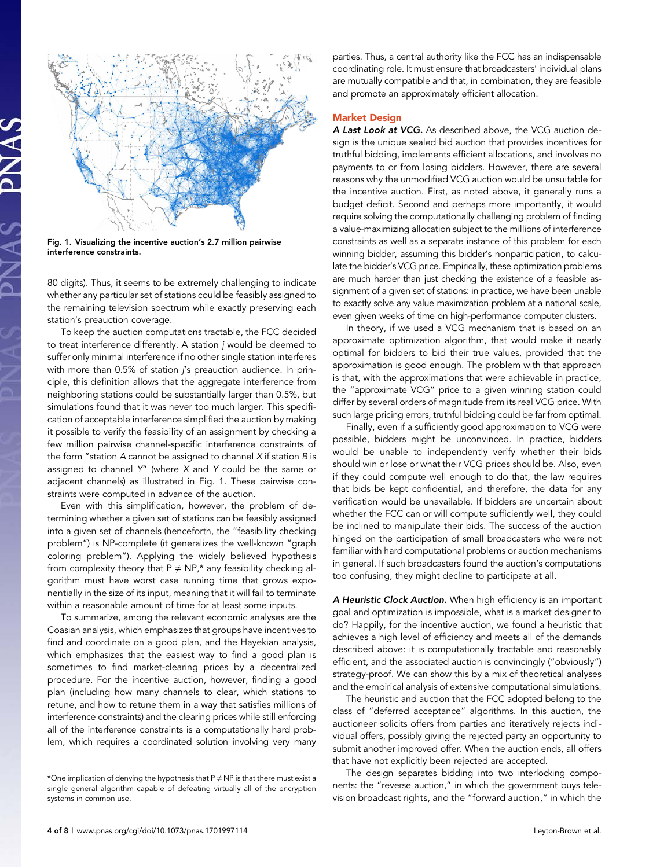

Fig. 1. Visualizing the incentive auction's 2.7 million pairwise interference constraints.

80 digits). Thus, it seems to be extremely challenging to indicate whether any particular set of stations could be feasibly assigned to the remaining television spectrum while exactly preserving each station's preauction coverage.

To keep the auction computations tractable, the FCC decided to treat interference differently. A station  $j$  would be deemed to suffer only minimal interference if no other single station interferes with more than 0.5% of station j's preauction audience. In principle, this definition allows that the aggregate interference from neighboring stations could be substantially larger than 0.5%, but simulations found that it was never too much larger. This specification of acceptable interference simplified the auction by making it possible to verify the feasibility of an assignment by checking a few million pairwise channel-specific interference constraints of the form "station A cannot be assigned to channel X if station B is assigned to channel Y" (where  $X$  and  $Y$  could be the same or adjacent channels) as illustrated in Fig. 1. These pairwise constraints were computed in advance of the auction.

Even with this simplification, however, the problem of determining whether a given set of stations can be feasibly assigned into a given set of channels (henceforth, the "feasibility checking problem") is NP-complete (it generalizes the well-known "graph coloring problem"). Applying the widely believed hypothesis from complexity theory that  $P \ne NP$ ,\* any feasibility checking algorithm must have worst case running time that grows exponentially in the size of its input, meaning that it will fail to terminate within a reasonable amount of time for at least some inputs.

To summarize, among the relevant economic analyses are the Coasian analysis, which emphasizes that groups have incentives to find and coordinate on a good plan, and the Hayekian analysis, which emphasizes that the easiest way to find a good plan is sometimes to find market-clearing prices by a decentralized procedure. For the incentive auction, however, finding a good plan (including how many channels to clear, which stations to retune, and how to retune them in a way that satisfies millions of interference constraints) and the clearing prices while still enforcing all of the interference constraints is a computationally hard problem, which requires a coordinated solution involving very many parties. Thus, a central authority like the FCC has an indispensable coordinating role. It must ensure that broadcasters' individual plans are mutually compatible and that, in combination, they are feasible and promote an approximately efficient allocation.

A Last Look at VCG. As described above, the VCG auction design is the unique sealed bid auction that provides incentives for truthful bidding, implements efficient allocations, and involves no payments to or from losing bidders. However, there are several reasons why the unmodified VCG auction would be unsuitable for the incentive auction. First, as noted above, it generally runs a budget deficit. Second and perhaps more importantly, it would require solving the computationally challenging problem of finding a value-maximizing allocation subject to the millions of interference constraints as well as a separate instance of this problem for each winning bidder, assuming this bidder's nonparticipation, to calculate the bidder's VCG price. Empirically, these optimization problems are much harder than just checking the existence of a feasible assignment of a given set of stations: in practice, we have been unable to exactly solve any value maximization problem at a national scale, even given weeks of time on high-performance computer clusters.

In theory, if we used a VCG mechanism that is based on an approximate optimization algorithm, that would make it nearly optimal for bidders to bid their true values, provided that the approximation is good enough. The problem with that approach is that, with the approximations that were achievable in practice, the "approximate VCG" price to a given winning station could differ by several orders of magnitude from its real VCG price. With such large pricing errors, truthful bidding could be far from optimal.

Finally, even if a sufficiently good approximation to VCG were possible, bidders might be unconvinced. In practice, bidders would be unable to independently verify whether their bids should win or lose or what their VCG prices should be. Also, even if they could compute well enough to do that, the law requires that bids be kept confidential, and therefore, the data for any verification would be unavailable. If bidders are uncertain about whether the FCC can or will compute sufficiently well, they could be inclined to manipulate their bids. The success of the auction hinged on the participation of small broadcasters who were not familiar with hard computational problems or auction mechanisms in general. If such broadcasters found the auction's computations too confusing, they might decline to participate at all.

A Heuristic Clock Auction. When high efficiency is an important goal and optimization is impossible, what is a market designer to do? Happily, for the incentive auction, we found a heuristic that achieves a high level of efficiency and meets all of the demands described above: it is computationally tractable and reasonably efficient, and the associated auction is convincingly ("obviously") strategy-proof. We can show this by a mix of theoretical analyses and the empirical analysis of extensive computational simulations.

The heuristic and auction that the FCC adopted belong to the class of "deferred acceptance" algorithms. In this auction, the auctioneer solicits offers from parties and iteratively rejects individual offers, possibly giving the rejected party an opportunity to submit another improved offer. When the auction ends, all offers that have not explicitly been rejected are accepted.

The design separates bidding into two interlocking components: the "reverse auction," in which the government buys television broadcast rights, and the "forward auction," in which the

<sup>\*</sup>One implication of denying the hypothesis that P ≠ NP is that there must exist a single general algorithm capable of defeating virtually all of the encryption systems in common use.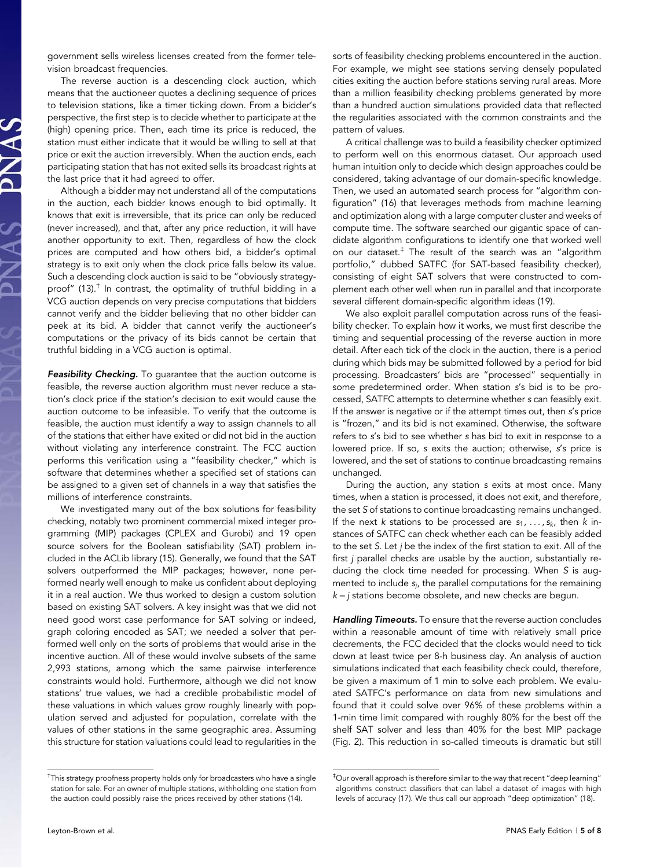government sells wireless licenses created from the former television broadcast frequencies.

The reverse auction is a descending clock auction, which means that the auctioneer quotes a declining sequence of prices to television stations, like a timer ticking down. From a bidder's perspective, the first step is to decide whether to participate at the (high) opening price. Then, each time its price is reduced, the station must either indicate that it would be willing to sell at that price or exit the auction irreversibly. When the auction ends, each participating station that has not exited sells its broadcast rights at the last price that it had agreed to offer.

Although a bidder may not understand all of the computations in the auction, each bidder knows enough to bid optimally. It knows that exit is irreversible, that its price can only be reduced (never increased), and that, after any price reduction, it will have another opportunity to exit. Then, regardless of how the clock prices are computed and how others bid, a bidder's optimal strategy is to exit only when the clock price falls below its value. Such a descending clock auction is said to be "obviously strategyproof" (13).<sup>†</sup> In contrast, the optimality of truthful bidding in a VCG auction depends on very precise computations that bidders cannot verify and the bidder believing that no other bidder can peek at its bid. A bidder that cannot verify the auctioneer's computations or the privacy of its bids cannot be certain that truthful bidding in a VCG auction is optimal.

Feasibility Checking. To guarantee that the auction outcome is feasible, the reverse auction algorithm must never reduce a station's clock price if the station's decision to exit would cause the auction outcome to be infeasible. To verify that the outcome is feasible, the auction must identify a way to assign channels to all of the stations that either have exited or did not bid in the auction without violating any interference constraint. The FCC auction performs this verification using a "feasibility checker," which is software that determines whether a specified set of stations can be assigned to a given set of channels in a way that satisfies the millions of interference constraints.

We investigated many out of the box solutions for feasibility checking, notably two prominent commercial mixed integer programming (MIP) packages (CPLEX and Gurobi) and 19 open source solvers for the Boolean satisfiability (SAT) problem included in the ACLib library (15). Generally, we found that the SAT solvers outperformed the MIP packages; however, none performed nearly well enough to make us confident about deploying it in a real auction. We thus worked to design a custom solution based on existing SAT solvers. A key insight was that we did not need good worst case performance for SAT solving or indeed, graph coloring encoded as SAT; we needed a solver that performed well only on the sorts of problems that would arise in the incentive auction. All of these would involve subsets of the same 2,993 stations, among which the same pairwise interference constraints would hold. Furthermore, although we did not know stations' true values, we had a credible probabilistic model of these valuations in which values grow roughly linearly with population served and adjusted for population, correlate with the values of other stations in the same geographic area. Assuming this structure for station valuations could lead to regularities in the

† This strategy proofness property holds only for broadcasters who have a single station for sale. For an owner of multiple stations, withholding one station from the auction could possibly raise the prices received by other stations (14).

sorts of feasibility checking problems encountered in the auction. For example, we might see stations serving densely populated cities exiting the auction before stations serving rural areas. More than a million feasibility checking problems generated by more than a hundred auction simulations provided data that reflected the regularities associated with the common constraints and the pattern of values.

A critical challenge was to build a feasibility checker optimized to perform well on this enormous dataset. Our approach used human intuition only to decide which design approaches could be considered, taking advantage of our domain-specific knowledge. Then, we used an automated search process for "algorithm configuration" (16) that leverages methods from machine learning and optimization along with a large computer cluster and weeks of compute time. The software searched our gigantic space of candidate algorithm configurations to identify one that worked well on our dataset.‡ The result of the search was an "algorithm portfolio," dubbed SATFC (for SAT-based feasibility checker), consisting of eight SAT solvers that were constructed to complement each other well when run in parallel and that incorporate several different domain-specific algorithm ideas (19).

We also exploit parallel computation across runs of the feasibility checker. To explain how it works, we must first describe the timing and sequential processing of the reverse auction in more detail. After each tick of the clock in the auction, there is a period during which bids may be submitted followed by a period for bid processing. Broadcasters' bids are "processed" sequentially in some predetermined order. When station s's bid is to be processed, SATFC attempts to determine whether s can feasibly exit. If the answer is negative or if the attempt times out, then s's price is "frozen," and its bid is not examined. Otherwise, the software refers to s's bid to see whether s has bid to exit in response to a lowered price. If so, s exits the auction; otherwise, s's price is lowered, and the set of stations to continue broadcasting remains unchanged.

During the auction, any station s exits at most once. Many times, when a station is processed, it does not exit, and therefore, the set S of stations to continue broadcasting remains unchanged. If the next k stations to be processed are  $s_1, \ldots, s_k$ , then k instances of SATFC can check whether each can be feasibly added to the set S. Let  $j$  be the index of the first station to exit. All of the first j parallel checks are usable by the auction, substantially reducing the clock time needed for processing. When S is augmented to include  $s_i$ , the parallel computations for the remaining  $k - j$  stations become obsolete, and new checks are begun.

Handling Timeouts. To ensure that the reverse auction concludes within a reasonable amount of time with relatively small price decrements, the FCC decided that the clocks would need to tick down at least twice per 8-h business day. An analysis of auction simulations indicated that each feasibility check could, therefore, be given a maximum of 1 min to solve each problem. We evaluated SATFC's performance on data from new simulations and found that it could solve over 96% of these problems within a 1-min time limit compared with roughly 80% for the best off the shelf SAT solver and less than 40% for the best MIP package (Fig. 2). This reduction in so-called timeouts is dramatic but still

<sup>‡</sup> Our overall approach is therefore similar to the way that recent "deep learning" algorithms construct classifiers that can label a dataset of images with high levels of accuracy (17). We thus call our approach "deep optimization" (18).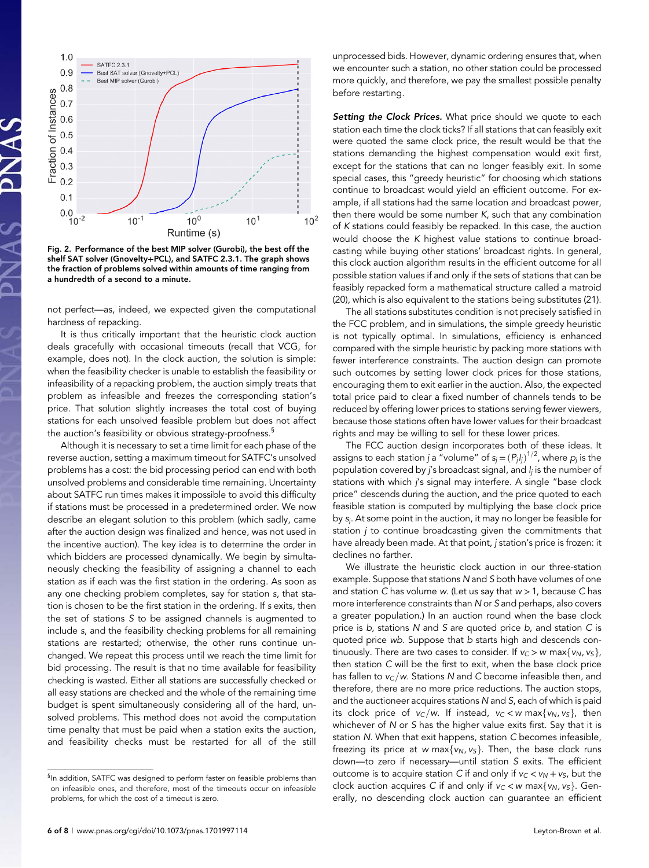

Fig. 2. Performance of the best MIP solver (Gurobi), the best off the shelf SAT solver (Gnovelty+PCL), and SATFC 2.3.1. The graph shows the fraction of problems solved within amounts of time ranging from a hundredth of a second to a minute.

not perfect—as, indeed, we expected given the computational hardness of repacking.

It is thus critically important that the heuristic clock auction deals gracefully with occasional timeouts (recall that VCG, for example, does not). In the clock auction, the solution is simple: when the feasibility checker is unable to establish the feasibility or infeasibility of a repacking problem, the auction simply treats that problem as infeasible and freezes the corresponding station's price. That solution slightly increases the total cost of buying stations for each unsolved feasible problem but does not affect the auction's feasibility or obvious strategy-proofness.<sup>§</sup>

Although it is necessary to set a time limit for each phase of the reverse auction, setting a maximum timeout for SATFC's unsolved problems has a cost: the bid processing period can end with both unsolved problems and considerable time remaining. Uncertainty about SATFC run times makes it impossible to avoid this difficulty if stations must be processed in a predetermined order. We now describe an elegant solution to this problem (which sadly, came after the auction design was finalized and hence, was not used in the incentive auction). The key idea is to determine the order in which bidders are processed dynamically. We begin by simultaneously checking the feasibility of assigning a channel to each station as if each was the first station in the ordering. As soon as any one checking problem completes, say for station s, that station is chosen to be the first station in the ordering. If s exits, then the set of stations S to be assigned channels is augmented to include s, and the feasibility checking problems for all remaining stations are restarted; otherwise, the other runs continue unchanged. We repeat this process until we reach the time limit for bid processing. The result is that no time available for feasibility checking is wasted. Either all stations are successfully checked or all easy stations are checked and the whole of the remaining time budget is spent simultaneously considering all of the hard, unsolved problems. This method does not avoid the computation time penalty that must be paid when a station exits the auction, and feasibility checks must be restarted for all of the still unprocessed bids. However, dynamic ordering ensures that, when we encounter such a station, no other station could be processed more quickly, and therefore, we pay the smallest possible penalty before restarting.

Setting the Clock Prices. What price should we quote to each station each time the clock ticks? If all stations that can feasibly exit were quoted the same clock price, the result would be that the stations demanding the highest compensation would exit first, except for the stations that can no longer feasibly exit. In some special cases, this "greedy heuristic" for choosing which stations continue to broadcast would yield an efficient outcome. For example, if all stations had the same location and broadcast power, then there would be some number K, such that any combination of K stations could feasibly be repacked. In this case, the auction would choose the K highest value stations to continue broadcasting while buying other stations' broadcast rights. In general, this clock auction algorithm results in the efficient outcome for all possible station values if and only if the sets of stations that can be feasibly repacked form a mathematical structure called a matroid (20), which is also equivalent to the stations being substitutes (21).

The all stations substitutes condition is not precisely satisfied in the FCC problem, and in simulations, the simple greedy heuristic is not typically optimal. In simulations, efficiency is enhanced compared with the simple heuristic by packing more stations with fewer interference constraints. The auction design can promote such outcomes by setting lower clock prices for those stations, encouraging them to exit earlier in the auction. Also, the expected total price paid to clear a fixed number of channels tends to be reduced by offering lower prices to stations serving fewer viewers, because those stations often have lower values for their broadcast rights and may be willing to sell for these lower prices.

The FCC auction design incorporates both of these ideas. It assigns to each station *j* a "volume" of  $s_j = (P_j l_j)^{1/2}$ , where  $p_j$  is the population covered by j's broadcast signal, and  $I_i$  is the number of stations with which j's signal may interfere. A single "base clock price" descends during the auction, and the price quoted to each feasible station is computed by multiplying the base clock price by s<sub>i</sub>. At some point in the auction, it may no longer be feasible for station  $j$  to continue broadcasting given the commitments that have already been made. At that point, *j* station's price is frozen: it declines no farther.

We illustrate the heuristic clock auction in our three-station example. Suppose that stations N and S both have volumes of one and station C has volume w. (Let us say that  $w > 1$ , because C has more interference constraints than N or S and perhaps, also covers a greater population.) In an auction round when the base clock price is b, stations N and S are quoted price b, and station C is quoted price wb. Suppose that b starts high and descends continuously. There are two cases to consider. If  $v_c > w \max\{v_N, v_S\}$ , then station C will be the first to exit, when the base clock price has fallen to  $v_C/w$ . Stations N and C become infeasible then, and therefore, there are no more price reductions. The auction stops, and the auctioneer acquires stations N and S, each of which is paid its clock price of  $v_c/w$ . If instead,  $v_c < w \max\{v_N, v_S\}$ , then whichever of N or S has the higher value exits first. Say that it is station N. When that exit happens, station C becomes infeasible, freezing its price at w max $\{v_N, v_S\}$ . Then, the base clock runs down—to zero if necessary—until station S exits. The efficient outcome is to acquire station C if and only if  $v_c < v<sub>N</sub> + v<sub>S</sub>$ , but the clock auction acquires C if and only if  $v_c < w$  max $\{v_N, v_S\}$ . Generally, no descending clock auction can guarantee an efficient

<sup>§</sup> In addition, SATFC was designed to perform faster on feasible problems than on infeasible ones, and therefore, most of the timeouts occur on infeasible problems, for which the cost of a timeout is zero.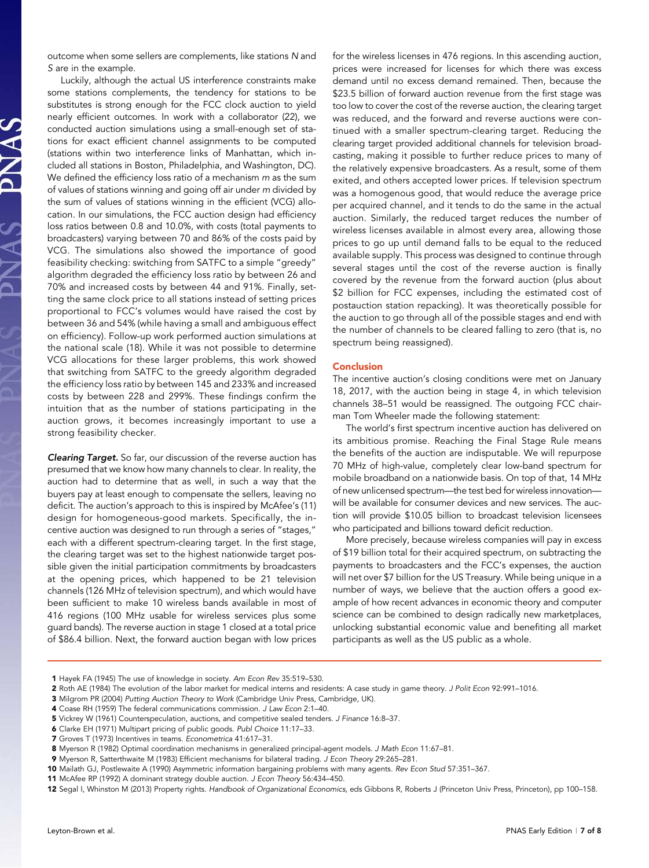outcome when some sellers are complements, like stations N and S are in the example.

Luckily, although the actual US interference constraints make some stations complements, the tendency for stations to be substitutes is strong enough for the FCC clock auction to yield nearly efficient outcomes. In work with a collaborator (22), we conducted auction simulations using a small-enough set of stations for exact efficient channel assignments to be computed (stations within two interference links of Manhattan, which included all stations in Boston, Philadelphia, and Washington, DC). We defined the efficiency loss ratio of a mechanism m as the sum of values of stations winning and going off air under m divided by the sum of values of stations winning in the efficient (VCG) allocation. In our simulations, the FCC auction design had efficiency loss ratios between 0.8 and 10.0%, with costs (total payments to broadcasters) varying between 70 and 86% of the costs paid by VCG. The simulations also showed the importance of good feasibility checking: switching from SATFC to a simple "greedy" algorithm degraded the efficiency loss ratio by between 26 and 70% and increased costs by between 44 and 91%. Finally, setting the same clock price to all stations instead of setting prices proportional to FCC's volumes would have raised the cost by between 36 and 54% (while having a small and ambiguous effect on efficiency). Follow-up work performed auction simulations at the national scale (18). While it was not possible to determine VCG allocations for these larger problems, this work showed that switching from SATFC to the greedy algorithm degraded the efficiency loss ratio by between 145 and 233% and increased costs by between 228 and 299%. These findings confirm the intuition that as the number of stations participating in the auction grows, it becomes increasingly important to use a strong feasibility checker.

Clearing Target. So far, our discussion of the reverse auction has presumed that we know how many channels to clear. In reality, the auction had to determine that as well, in such a way that the buyers pay at least enough to compensate the sellers, leaving no deficit. The auction's approach to this is inspired by McAfee's (11) design for homogeneous-good markets. Specifically, the incentive auction was designed to run through a series of "stages," each with a different spectrum-clearing target. In the first stage, the clearing target was set to the highest nationwide target possible given the initial participation commitments by broadcasters at the opening prices, which happened to be 21 television channels (126 MHz of television spectrum), and which would have been sufficient to make 10 wireless bands available in most of 416 regions (100 MHz usable for wireless services plus some guard bands). The reverse auction in stage 1 closed at a total price of \$86.4 billion. Next, the forward auction began with low prices for the wireless licenses in 476 regions. In this ascending auction, prices were increased for licenses for which there was excess demand until no excess demand remained. Then, because the \$23.5 billion of forward auction revenue from the first stage was too low to cover the cost of the reverse auction, the clearing target was reduced, and the forward and reverse auctions were continued with a smaller spectrum-clearing target. Reducing the clearing target provided additional channels for television broadcasting, making it possible to further reduce prices to many of the relatively expensive broadcasters. As a result, some of them exited, and others accepted lower prices. If television spectrum was a homogenous good, that would reduce the average price per acquired channel, and it tends to do the same in the actual auction. Similarly, the reduced target reduces the number of wireless licenses available in almost every area, allowing those prices to go up until demand falls to be equal to the reduced available supply. This process was designed to continue through several stages until the cost of the reverse auction is finally covered by the revenue from the forward auction (plus about \$2 billion for FCC expenses, including the estimated cost of postauction station repacking). It was theoretically possible for the auction to go through all of the possible stages and end with the number of channels to be cleared falling to zero (that is, no spectrum being reassigned).

The incentive auction's closing conditions were met on January 18, 2017, with the auction being in stage 4, in which television channels 38–51 would be reassigned. The outgoing FCC chairman Tom Wheeler made the following statement:

The world's first spectrum incentive auction has delivered on its ambitious promise. Reaching the Final Stage Rule means the benefits of the auction are indisputable. We will repurpose 70 MHz of high-value, completely clear low-band spectrum for mobile broadband on a nationwide basis. On top of that, 14 MHz of new unlicensed spectrum—the test bed for wireless innovation will be available for consumer devices and new services. The auction will provide \$10.05 billion to broadcast television licensees who participated and billions toward deficit reduction.

More precisely, because wireless companies will pay in excess of \$19 billion total for their acquired spectrum, on subtracting the payments to broadcasters and the FCC's expenses, the auction will net over \$7 billion for the US Treasury. While being unique in a number of ways, we believe that the auction offers a good example of how recent advances in economic theory and computer science can be combined to design radically new marketplaces, unlocking substantial economic value and benefiting all market participants as well as the US public as a whole.

<sup>1</sup> Hayek FA (1945) The use of knowledge in society. Am Econ Rev 35:519–530.

<sup>2</sup> Roth AE (1984) The evolution of the labor market for medical interns and residents: A case study in game theory. J Polit Econ 92:991–1016.

<sup>3</sup> Milgrom PR (2004) Putting Auction Theory to Work (Cambridge Univ Press, Cambridge, UK).

<sup>4</sup> Coase RH (1959) The federal communications commission. J Law Econ 2:1–40.

<sup>5</sup> Vickrey W (1961) Counterspeculation, auctions, and competitive sealed tenders. J Finance 16:8–37.

<sup>6</sup> Clarke EH (1971) Multipart pricing of public goods. Publ Choice 11:17–33.

<sup>7</sup> Groves T (1973) Incentives in teams. Econometrica 41:617–31.

<sup>8</sup> Myerson R (1982) Optimal coordination mechanisms in generalized principal-agent models. J Math Econ 11:67-81.

<sup>9</sup> Myerson R, Satterthwaite M (1983) Efficient mechanisms for bilateral trading. J Econ Theory 29:265-281.

<sup>10</sup> Mailath GJ, Postlewaite A (1990) Asymmetric information bargaining problems with many agents. Rev Econ Stud 57:351–367.

<sup>11</sup> McAfee RP (1992) A dominant strategy double auction. J Econ Theory 56:434–450.

<sup>12</sup> Segal I, Whinston M (2013) Property rights. Handbook of Organizational Economics, eds Gibbons R, Roberts J (Princeton Univ Press, Princeton), pp 100–158.